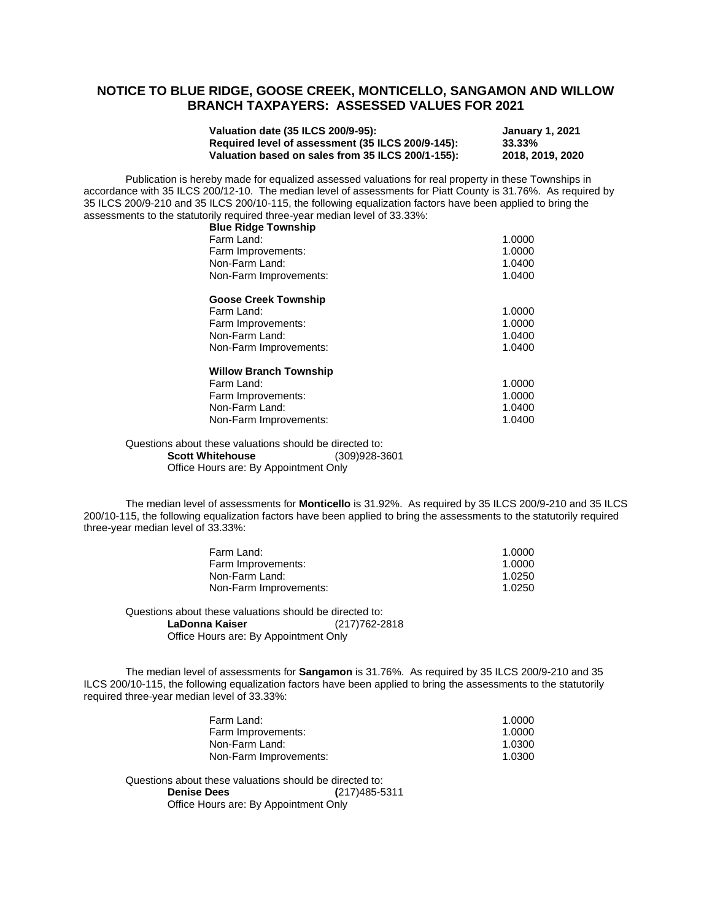## **NOTICE TO BLUE RIDGE, GOOSE CREEK, MONTICELLO, SANGAMON AND WILLOW BRANCH TAXPAYERS: ASSESSED VALUES FOR 2021**

| Valuation date (35 ILCS 200/9-95):                | <b>January 1, 2021</b> |
|---------------------------------------------------|------------------------|
| Required level of assessment (35 ILCS 200/9-145): | 33.33%                 |
| Valuation based on sales from 35 ILCS 200/1-155): | 2018, 2019, 2020       |

Publication is hereby made for equalized assessed valuations for real property in these Townships in accordance with 35 ILCS 200/12-10. The median level of assessments for Piatt County is 31.76%. As required by 35 ILCS 200/9-210 and 35 ILCS 200/10-115, the following equalization factors have been applied to bring the assessments to the statutorily required three-year median level of 33.33%:

| <b>Blue Ridge Township</b>    |        |
|-------------------------------|--------|
| Farm Land:                    | 1.0000 |
| Farm Improvements:            | 1.0000 |
| Non-Farm Land:                | 1.0400 |
| Non-Farm Improvements:        | 1.0400 |
| <b>Goose Creek Township</b>   |        |
| Farm Land:                    | 1.0000 |
| Farm Improvements:            | 1.0000 |
| Non-Farm Land:                | 1.0400 |
| Non-Farm Improvements:        | 1.0400 |
| <b>Willow Branch Township</b> |        |
| Farm Land:                    | 1.0000 |
| Farm Improvements:            | 1.0000 |
| Non-Farm Land:                | 1.0400 |
| Non-Farm Improvements:        | 1.0400 |

Questions about these valuations should be directed to:<br>**Scott Whitehouse** (309)928-3601 **Scott Whitehouse** Office Hours are: By Appointment Only

The median level of assessments for **Monticello** is 31.92%. As required by 35 ILCS 200/9-210 and 35 ILCS 200/10-115, the following equalization factors have been applied to bring the assessments to the statutorily required three-year median level of 33.33%:

| Farm Land:             | 1.0000 |
|------------------------|--------|
| Farm Improvements:     | 1.0000 |
| Non-Farm Land:         | 1.0250 |
| Non-Farm Improvements: | 1.0250 |

Questions about these valuations should be directed to: **LaDonna Kaiser** (217)762-2818 Office Hours are: By Appointment Only

The median level of assessments for **Sangamon** is 31.76%. As required by 35 ILCS 200/9-210 and 35 ILCS 200/10-115, the following equalization factors have been applied to bring the assessments to the statutorily required three-year median level of 33.33%:

| Farm Land:             | 1.0000 |
|------------------------|--------|
| Farm Improvements:     | 1.0000 |
| Non-Farm Land:         | 1.0300 |
| Non-Farm Improvements: | 1.0300 |

Questions about these valuations should be directed to:<br>Denise Dees (217)485-5 **Denise Dees (**217)485-5311 Office Hours are: By Appointment Only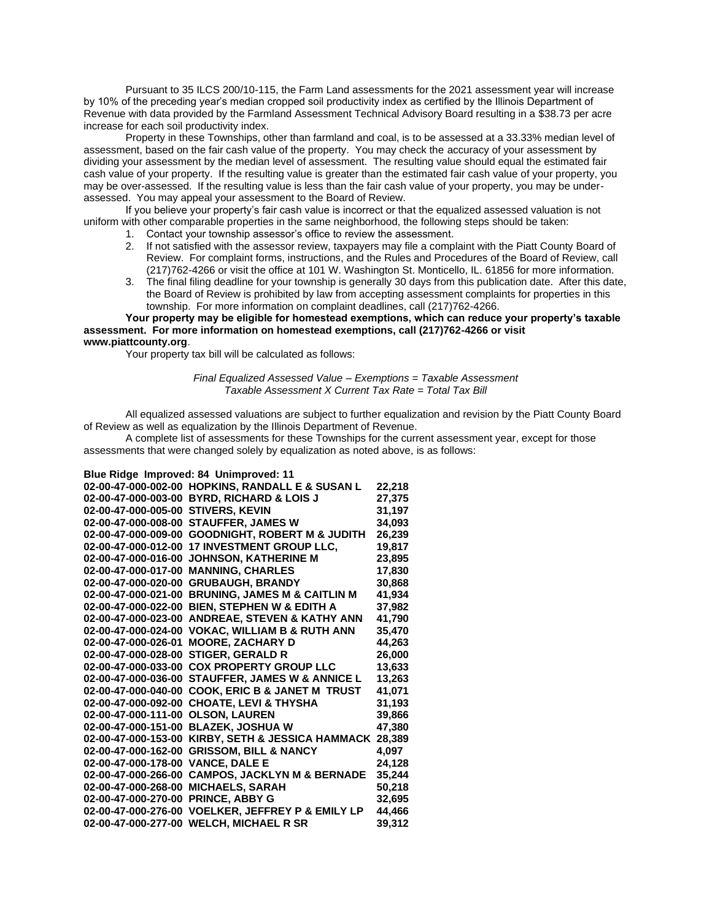Pursuant to 35 ILCS 200/10-115, the Farm Land assessments for the 2021 assessment year will increase by 10% of the preceding year's median cropped soil productivity index as certified by the Illinois Department of Revenue with data provided by the Farmland Assessment Technical Advisory Board resulting in a \$38.73 per acre increase for each soil productivity index.

Property in these Townships, other than farmland and coal, is to be assessed at a 33.33% median level of assessment, based on the fair cash value of the property. You may check the accuracy of your assessment by dividing your assessment by the median level of assessment. The resulting value should equal the estimated fair cash value of your property. If the resulting value is greater than the estimated fair cash value of your property, you may be over-assessed. If the resulting value is less than the fair cash value of your property, you may be underassessed. You may appeal your assessment to the Board of Review.

If you believe your property's fair cash value is incorrect or that the equalized assessed valuation is not uniform with other comparable properties in the same neighborhood, the following steps should be taken:

- 1. Contact your township assessor's office to review the assessment.
- 2. If not satisfied with the assessor review, taxpayers may file a complaint with the Piatt County Board of Review. For complaint forms, instructions, and the Rules and Procedures of the Board of Review, call (217)762-4266 or visit the office at 101 W. Washington St. Monticello, IL. 61856 for more information.
- 3. The final filing deadline for your township is generally 30 days from this publication date. After this date, the Board of Review is prohibited by law from accepting assessment complaints for properties in this township. For more information on complaint deadlines, call (217)762-4266.

## **Your property may be eligible for homestead exemptions, which can reduce your property's taxable assessment. For more information on homestead exemptions, call (217)762-4266 or visit www.piattcounty.org**.

Your property tax bill will be calculated as follows:

*Final Equalized Assessed Value – Exemptions = Taxable Assessment Taxable Assessment X Current Tax Rate = Total Tax Bill*

All equalized assessed valuations are subject to further equalization and revision by the Piatt County Board of Review as well as equalization by the Illinois Department of Revenue.

A complete list of assessments for these Townships for the current assessment year, except for those assessments that were changed solely by equalization as noted above, is as follows:

| Blue Ridge Improved: 84 Unimproved: 11 |                                          |        |  |  |
|----------------------------------------|------------------------------------------|--------|--|--|
| 02-00-47-000-002-00                    | <b>HOPKINS, RANDALL E &amp; SUSAN L</b>  | 22,218 |  |  |
| 02-00-47-000-003-00                    | <b>BYRD. RICHARD &amp; LOIS J</b>        | 27,375 |  |  |
| 02-00-47-000-005-00                    | <b>STIVERS, KEVIN</b>                    | 31,197 |  |  |
| 02-00-47-000-008-00                    | <b>STAUFFER, JAMES W</b>                 | 34,093 |  |  |
| 02-00-47-000-009-00                    | <b>GOODNIGHT, ROBERT M &amp; JUDITH</b>  | 26,239 |  |  |
| 02-00-47-000-012-00                    | <b>17 INVESTMENT GROUP LLC,</b>          | 19,817 |  |  |
| 02-00-47-000-016-00                    | <b>JOHNSON, KATHERINE M</b>              | 23,895 |  |  |
| 02-00-47-000-017-00                    | <b>MANNING, CHARLES</b>                  | 17.830 |  |  |
| 02-00-47-000-020-00                    | <b>GRUBAUGH, BRANDY</b>                  | 30,868 |  |  |
| 02-00-47-000-021-00                    | <b>BRUNING, JAMES M &amp; CAITLIN M</b>  | 41,934 |  |  |
| 02-00-47-000-022-00                    | <b>BIEN, STEPHEN W &amp; EDITH A</b>     | 37.982 |  |  |
| 02-00-47-000-023-00                    | <b>ANDREAE, STEVEN &amp; KATHY ANN</b>   | 41,790 |  |  |
| 02-00-47-000-024-00                    | <b>VOKAC, WILLIAM B &amp; RUTH ANN</b>   | 35,470 |  |  |
| 02-00-47-000-026-01                    | <b>MOORE, ZACHARY D</b>                  | 44,263 |  |  |
| 02-00-47-000-028-00                    | <b>STIGER, GERALD R</b>                  | 26,000 |  |  |
| 02-00-47-000-033-00                    | <b>COX PROPERTY GROUP LLC</b>            | 13,633 |  |  |
| 02-00-47-000-036-00                    | <b>STAUFFER, JAMES W &amp; ANNICE L</b>  | 13,263 |  |  |
| 02-00-47-000-040-00                    | <b>COOK, ERIC B &amp; JANET M TRUST</b>  | 41,071 |  |  |
| 02-00-47-000-092-00                    | <b>CHOATE, LEVI &amp; THYSHA</b>         | 31,193 |  |  |
| 02-00-47-000-111-00                    | <b>OLSON, LAUREN</b>                     | 39.866 |  |  |
| 02-00-47-000-151-00                    | <b>BLAZEK, JOSHUA W</b>                  | 47,380 |  |  |
| 02-00-47-000-153-00                    | <b>KIRBY, SETH &amp; JESSICA HAMMACK</b> | 28.389 |  |  |
| 02-00-47-000-162-00                    | <b>GRISSOM, BILL &amp; NANCY</b>         | 4,097  |  |  |
| 02-00-47-000-178-00                    | <b>VANCE, DALE E</b>                     | 24,128 |  |  |
| 02-00-47-000-266-00                    | <b>CAMPOS, JACKLYN M &amp; BERNADE</b>   | 35,244 |  |  |
| 02-00-47-000-268-00                    | <b>MICHAELS, SARAH</b>                   | 50,218 |  |  |
| 02-00-47-000-270-00                    | <b>PRINCE, ABBY G</b>                    | 32,695 |  |  |
| 02-00-47-000-276-00                    | <b>VOELKER, JEFFREY P &amp; EMILY LP</b> | 44.466 |  |  |
| 02-00-47-000-277-00                    | <b>WELCH, MICHAEL R SR</b>               | 39.312 |  |  |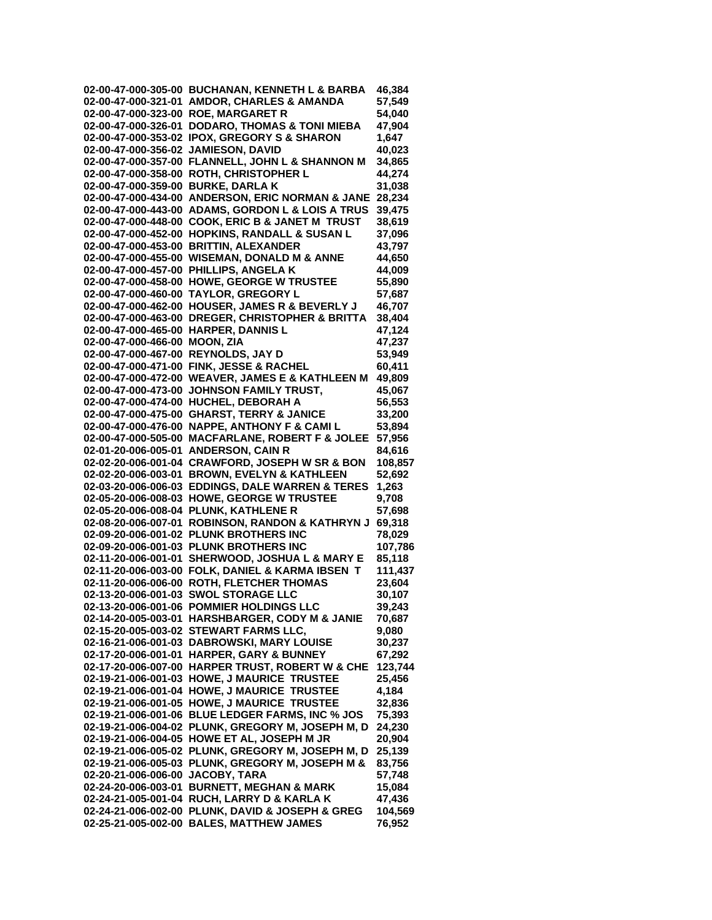**02-00-47-000-305-00 BUCHANAN, KENNETH L & BARBA 46,384 02-00-47-000-321-01 AMDOR, CHARLES & AMANDA 57,549 02-00-47-000-323-00 ROE, MARGARET R 54,040 02-00-47-000-326-01 DODARO, THOMAS & TONI MIEBA 47,904 02-00-47-000-353-02 IPOX, GREGORY S & SHARON 1,647 02-00-47-000-356-02 JAMIESON, DAVID 40,023 02-00-47-000-357-00 FLANNELL, JOHN L & SHANNON M 34,865 02-00-47-000-358-00 ROTH, CHRISTOPHER L 44,274 02-00-47-000-359-00 BURKE, DARLA K 31,038 02-00-47-000-434-00 ANDERSON, ERIC NORMAN & JANE 28,234 02-00-47-000-443-00 ADAMS, GORDON L & LOIS A TRUS 39,475 02-00-47-000-448-00 COOK, ERIC B & JANET M TRUST 38,619** 02-00-47-000-452-00 HOPKINS, RANDALL & SUSAN L **02-00-47-000-453-00 BRITTIN, ALEXANDER 43,797 02-00-47-000-455-00 WISEMAN, DONALD M & ANNE 44,650 02-00-47-000-457-00 PHILLIPS, ANGELA K 44,009 02-00-47-000-458-00 HOWE, GEORGE W TRUSTEE 55,890 02-00-47-000-460-00 TAYLOR, GREGORY L 57,687 02-00-47-000-462-00 HOUSER, JAMES R & BEVERLY J 46,707 02-00-47-000-463-00 DREGER, CHRISTOPHER & BRITTA 38,404 02-00-47-000-465-00 HARPER, DANNIS L 47,124 02-00-47-000-466-00 MOON, ZIA 47,237 02-00-47-000-467-00 REYNOLDS, JAY D 53,949 02-00-47-000-471-00 FINK, JESSE & RACHEL 60,411 02-00-47-000-472-00 WEAVER, JAMES E & KATHLEEN M 49,809 02-00-47-000-473-00 JOHNSON FAMILY TRUST, 45,067 02-00-47-000-474-00 HUCHEL, DEBORAH A 56,553 02-00-47-000-475-00 GHARST, TERRY & JANICE 33,200 02-00-47-000-476-00 NAPPE, ANTHONY F & CAMI L 53,894 02-00-47-000-505-00 MACFARLANE, ROBERT F & JOLEE 57,956 02-01-20-006-005-01 ANDERSON, CAIN R 84,616 02-02-20-006-001-04 CRAWFORD, JOSEPH W SR & BON 108,857 02-02-20-006-003-01 BROWN, EVELYN & KATHLEEN 52,692 02-03-20-006-006-03 EDDINGS, DALE WARREN & TERES 1,263 02-05-20-006-008-03 HOWE, GEORGE W TRUSTEE 9,708** 02-05-20-006-008-04 PLUNK, KATHLENE R **02-08-20-006-007-01 ROBINSON, RANDON & KATHRYN J 69,318 02-09-20-006-001-02 PLUNK BROTHERS INC 78,029 02-09-20-006-001-03 PLUNK BROTHERS INC 107,786 02-11-20-006-001-01 SHERWOOD, JOSHUA L & MARY E 85,118 02-11-20-006-003-00 FOLK, DANIEL & KARMA IBSEN T 111,437 02-11-20-006-006-00 ROTH, FLETCHER THOMAS 23,604 02-13-20-006-001-03 SWOL STORAGE LLC 30,107 02-13-20-006-001-06 POMMIER HOLDINGS LLC 39,243 02-14-20-005-003-01 HARSHBARGER, CODY M & JANIE 70,687 02-15-20-005-003-02 STEWART FARMS LLC, 9,080 02-16-21-006-001-03 DABROWSKI, MARY LOUISE 30,237 02-17-20-006-001-01 HARPER, GARY & BUNNEY 67,292 02-17-20-006-007-00 HARPER TRUST, ROBERT W & CHE 123,744 02-19-21-006-001-03 HOWE, J MAURICE TRUSTEE 25,456 02-19-21-006-001-04 HOWE, J MAURICE TRUSTEE 4,184 02-19-21-006-001-05 HOWE, J MAURICE TRUSTEE 32,836 02-19-21-006-001-06 BLUE LEDGER FARMS, INC % JOS 75,393 02-19-21-006-004-02 PLUNK, GREGORY M, JOSEPH M, D 24,230 02-19-21-006-004-05 HOWE ET AL, JOSEPH M JR 20,904 02-19-21-006-005-02 PLUNK, GREGORY M, JOSEPH M, D 25,139 02-19-21-006-005-03 PLUNK, GREGORY M, JOSEPH M & 83,756 02-20-21-006-006-00 JACOBY, TARA 57,748 02-24-20-006-003-01 BURNETT, MEGHAN & MARK 15,084 02-24-21-005-001-04 RUCH, LARRY D & KARLA K 47,436 02-24-21-006-002-00 PLUNK, DAVID & JOSEPH & GREG 104,569 02-25-21-005-002-00 BALES, MATTHEW JAMES 76,952**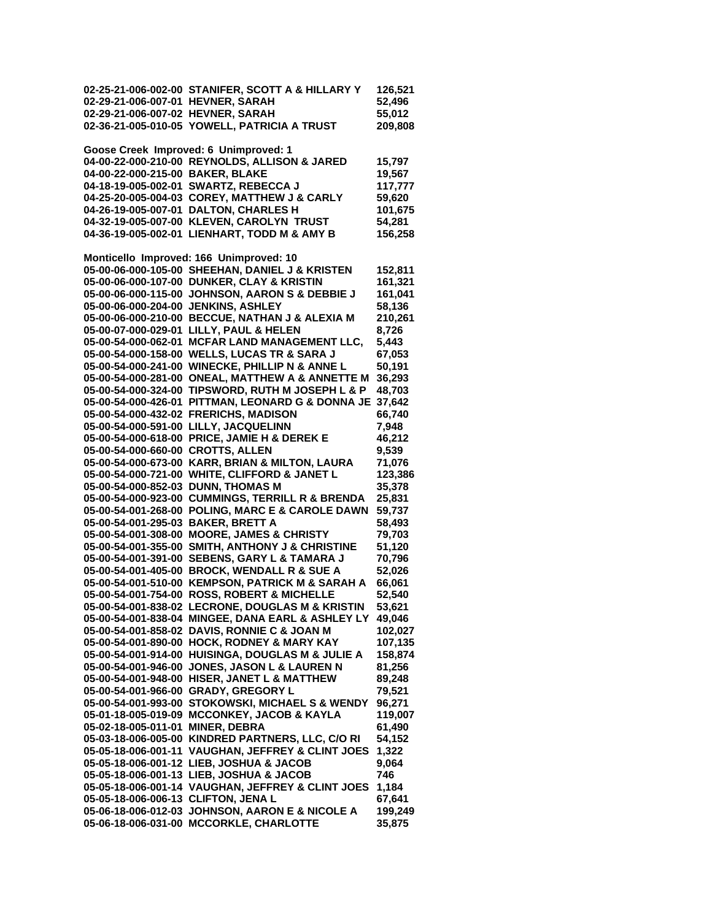|                                     | 02-25-21-006-002-00 STANIFER, SCOTT A & HILLARY Y | 126,521 |
|-------------------------------------|---------------------------------------------------|---------|
| 02-29-21-006-007-01 HEVNER, SARAH   |                                                   | 52,496  |
| 02-29-21-006-007-02 HEVNER, SARAH   |                                                   | 55,012  |
|                                     | 02-36-21-005-010-05 YOWELL, PATRICIA A TRUST      | 209,808 |
|                                     |                                                   |         |
|                                     | Goose Creek Improved: 6 Unimproved: 1             |         |
|                                     | 04-00-22-000-210-00 REYNOLDS, ALLISON & JARED     | 15,797  |
| 04-00-22-000-215-00 BAKER, BLAKE    |                                                   | 19,567  |
|                                     | 04-18-19-005-002-01 SWARTZ, REBECCA J             | 117,777 |
|                                     | 04-25-20-005-004-03 COREY, MATTHEW J & CARLY      | 59,620  |
|                                     | 04-26-19-005-007-01 DALTON, CHARLES H             | 101,675 |
|                                     | 04-32-19-005-007-00 KLEVEN, CAROLYN TRUST         | 54,281  |
|                                     | 04-36-19-005-002-01 LIENHART, TODD M & AMY B      | 156,258 |
|                                     |                                                   |         |
|                                     | Monticello Improved: 166 Unimproved: 10           |         |
|                                     | 05-00-06-000-105-00 SHEEHAN, DANIEL J & KRISTEN   | 152,811 |
|                                     | 05-00-06-000-107-00 DUNKER, CLAY & KRISTIN        | 161,321 |
| 05-00-06-000-115-00                 | JOHNSON, AARON S & DEBBIE J                       | 161,041 |
| 05-00-06-000-204-00 JENKINS, ASHLEY |                                                   | 58,136  |
|                                     | 05-00-06-000-210-00 BECCUE, NATHAN J & ALEXIA M   | 210,261 |
| 05-00-07-000-029-01                 | LILLY, PAUL & HELEN                               | 8,726   |
| 05-00-54-000-062-01                 | <b>MCFAR LAND MANAGEMENT LLC,</b>                 | 5,443   |
|                                     | 05-00-54-000-158-00 WELLS, LUCAS TR & SARA J      | 67,053  |
|                                     | 05-00-54-000-241-00 WINECKE, PHILLIP N & ANNE L   | 50,191  |
|                                     | 05-00-54-000-281-00 ONEAL, MATTHEW A & ANNETTE M  | 36,293  |
|                                     | 05-00-54-000-324-00 TIPSWORD, RUTH M JOSEPH L & P | 48,703  |
| 05-00-54-000-426-01                 | PITTMAN, LEONARD G & DONNA JE                     | 37,642  |
| 05-00-54-000-432-02                 | <b>FRERICHS, MADISON</b>                          | 66,740  |
| 05-00-54-000-591-00                 | LILLY, JACQUELINN                                 | 7,948   |
| 05-00-54-000-618-00                 | PRICE, JAMIE H & DEREK E                          | 46,212  |
| 05-00-54-000-660-00                 | <b>CROTTS, ALLEN</b>                              | 9,539   |
| 05-00-54-000-673-00                 | KARR, BRIAN & MILTON, LAURA                       | 71,076  |
| 05-00-54-000-721-00                 | WHITE, CLIFFORD & JANET L                         | 123,386 |
| 05-00-54-000-852-03                 | <b>DUNN, THOMAS M</b>                             | 35,378  |
| 05-00-54-000-923-00                 | <b>CUMMINGS, TERRILL R &amp; BRENDA</b>           | 25,831  |
|                                     | 05-00-54-001-268-00 POLING, MARC E & CAROLE DAWN  | 59,737  |
| 05-00-54-001-295-03 BAKER, BRETT A  |                                                   | 58,493  |
|                                     | 05-00-54-001-308-00 MOORE, JAMES & CHRISTY        | 79,703  |
|                                     | 05-00-54-001-355-00 SMITH, ANTHONY J & CHRISTINE  | 51,120  |
|                                     | 05-00-54-001-391-00 SEBENS, GARY L & TAMARA J     | 70,796  |
|                                     | 05-00-54-001-405-00 BROCK, WENDALL R & SUE A      | 52,026  |
|                                     | 05-00-54-001-510-00 KEMPSON, PATRICK M & SARAH A  | 66,061  |
|                                     | 05-00-54-001-754-00 ROSS, ROBERT & MICHELLE       | 52,540  |
|                                     | 05-00-54-001-838-02 LECRONE, DOUGLAS M & KRISTIN  | 53,621  |
|                                     | 05-00-54-001-838-04 MINGEE, DANA EARL & ASHLEY LY | 49,046  |
|                                     | 05-00-54-001-858-02 DAVIS, RONNIE C & JOAN M      | 102,027 |
| 05-00-54-001-890-00                 | <b>HOCK, RODNEY &amp; MARY KAY</b>                | 107,135 |
| 05-00-54-001-914-00                 | HUISINGA, DOUGLAS M & JULIE A                     | 158,874 |
| 05-00-54-001-946-00                 | <b>JONES, JASON L &amp; LAUREN N</b>              | 81,256  |
| 05-00-54-001-948-00                 | <b>HISER, JANET L &amp; MATTHEW</b>               | 89,248  |
| 05-00-54-001-966-00                 | <b>GRADY, GREGORY L</b>                           | 79,521  |
| 05-00-54-001-993-00                 | <b>STOKOWSKI, MICHAEL S &amp; WENDY</b>           | 96,271  |
| 05-01-18-005-019-09                 | <b>MCCONKEY, JACOB &amp; KAYLA</b>                | 119,007 |
| 05-02-18-005-011-01                 | <b>MINER, DEBRA</b>                               | 61,490  |
| 05-03-18-006-005-00                 | KINDRED PARTNERS, LLC, C/O RI                     | 54,152  |
| 05-05-18-006-001-11                 | <b>VAUGHAN, JEFFREY &amp; CLINT JOES</b>          | 1,322   |
| 05-05-18-006-001-12                 | LIEB, JOSHUA & JACOB                              | 9,064   |
|                                     | 05-05-18-006-001-13 LIEB, JOSHUA & JACOB          | 746     |
|                                     | 05-05-18-006-001-14 VAUGHAN, JEFFREY & CLINT JOES | 1,184   |
| 05-05-18-006-006-13 CLIFTON, JENA L |                                                   | 67,641  |
|                                     | 05-06-18-006-012-03 JOHNSON, AARON E & NICOLE A   | 199,249 |
|                                     | 05-06-18-006-031-00 MCCORKLE, CHARLOTTE           | 35,875  |
|                                     |                                                   |         |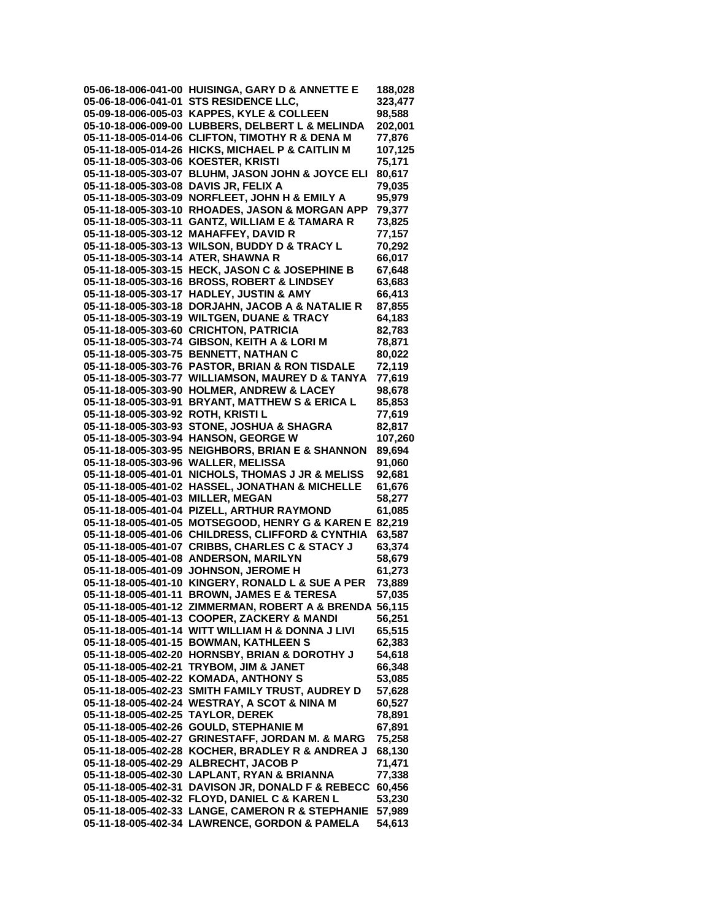**05-06-18-006-041-00 HUISINGA, GARY D & ANNETTE E 188,028 05-06-18-006-041-01 STS RESIDENCE LLC, 323,477 05-09-18-006-005-03 KAPPES, KYLE & COLLEEN 98,588 05-10-18-006-009-00 LUBBERS, DELBERT L & MELINDA 202,001 05-11-18-005-014-06 CLIFTON, TIMOTHY R & DENA M 77,876 05-11-18-005-014-26 HICKS, MICHAEL P & CAITLIN M 107,125 05-11-18-005-303-06 KOESTER, KRISTI 75,171 05-11-18-005-303-07 BLUHM, JASON JOHN & JOYCE ELI 80,617 05-11-18-005-303-08 DAVIS JR, FELIX A 79,035 05-11-18-005-303-09 NORFLEET, JOHN H & EMILY A 95,979 05-11-18-005-303-10 RHOADES, JASON & MORGAN APP 79,377 05-11-18-005-303-11 GANTZ, WILLIAM E & TAMARA R 73,825** 05-11-18-005-303-12 MAHAFFEY, DAVID R 77,157<br>05-11-18-005-303-13 WILSON, BUDDY D & TRACY L 70.292 05-11-18-005-303-13 WILSON, BUDDY D & TRACY L **05-11-18-005-303-14 ATER, SHAWNA R 66,017 05-11-18-005-303-15 HECK, JASON C & JOSEPHINE B 67,648 05-11-18-005-303-16 BROSS, ROBERT & LINDSEY 63,683 05-11-18-005-303-17 HADLEY, JUSTIN & AMY 66,413 05-11-18-005-303-18 DORJAHN, JACOB A & NATALIE R 87,855 05-11-18-005-303-19 WILTGEN, DUANE & TRACY 64,183 05-11-18-005-303-60 CRICHTON, PATRICIA 82,783 05-11-18-005-303-74 GIBSON, KEITH A & LORI M 78,871 05-11-18-005-303-75 BENNETT, NATHAN C 80,022 05-11-18-005-303-76 PASTOR, BRIAN & RON TISDALE 72,119 05-11-18-005-303-77 WILLIAMSON, MAUREY D & TANYA 77,619 05-11-18-005-303-90 HOLMER, ANDREW & LACEY 98,678 05-11-18-005-303-91 BRYANT, MATTHEW S & ERICA L 85,853 05-11-18-005-303-92 ROTH, KRISTI L 77,619 05-11-18-005-303-93 STONE, JOSHUA & SHAGRA 82,817 05-11-18-005-303-94 HANSON, GEORGE W 107,260 05-11-18-005-303-95 NEIGHBORS, BRIAN E & SHANNON 89,694 05-11-18-005-303-96 WALLER, MELISSA 91,060 05-11-18-005-401-01 NICHOLS, THOMAS J JR & MELISS 92,681 05-11-18-005-401-02 HASSEL, JONATHAN & MICHELLE 61,676 05-11-18-005-401-03 MILLER, MEGAN 58,277 05-11-18-005-401-04 PIZELL, ARTHUR RAYMOND 61,085 05-11-18-005-401-05 MOTSEGOOD, HENRY G & KAREN E 82,219 05-11-18-005-401-06 CHILDRESS, CLIFFORD & CYNTHIA 63,587 05-11-18-005-401-07 CRIBBS, CHARLES C & STACY J 63,374 05-11-18-005-401-08 ANDERSON, MARILYN 58,679 05-11-18-005-401-09 JOHNSON, JEROME H 61,273 05-11-18-005-401-10 KINGERY, RONALD L & SUE A PER 73,889 05-11-18-005-401-11 BROWN, JAMES E & TERESA 57,035 05-11-18-005-401-12 ZIMMERMAN, ROBERT A & BRENDA 56,115 05-11-18-005-401-13 COOPER, ZACKERY & MANDI 56,251 05-11-18-005-401-14 WITT WILLIAM H & DONNA J LIVI 65,515 05-11-18-005-401-15 BOWMAN, KATHLEEN S 62,383 05-11-18-005-402-20 HORNSBY, BRIAN & DOROTHY J 54,618 05-11-18-005-402-21 TRYBOM, JIM & JANET 66,348 05-11-18-005-402-22 KOMADA, ANTHONY S 53,085 05-11-18-005-402-23 SMITH FAMILY TRUST, AUDREY D 57,628 05-11-18-005-402-24 WESTRAY, A SCOT & NINA M 60,527 05-11-18-005-402-25 TAYLOR, DEREK 78,891 05-11-18-005-402-26 GOULD, STEPHANIE M 67,891 05-11-18-005-402-27 GRINESTAFF, JORDAN M. & MARG 75,258 05-11-18-005-402-28 KOCHER, BRADLEY R & ANDREA J 68,130 05-11-18-005-402-29 ALBRECHT, JACOB P 71,471 05-11-18-005-402-30 LAPLANT, RYAN & BRIANNA 77,338 05-11-18-005-402-31 DAVISON JR, DONALD F & REBECC 60,456 05-11-18-005-402-32 FLOYD, DANIEL C & KAREN L 53,230 05-11-18-005-402-33 LANGE, CAMERON R & STEPHANIE 57,989 05-11-18-005-402-34 LAWRENCE, GORDON & PAMELA 54,613**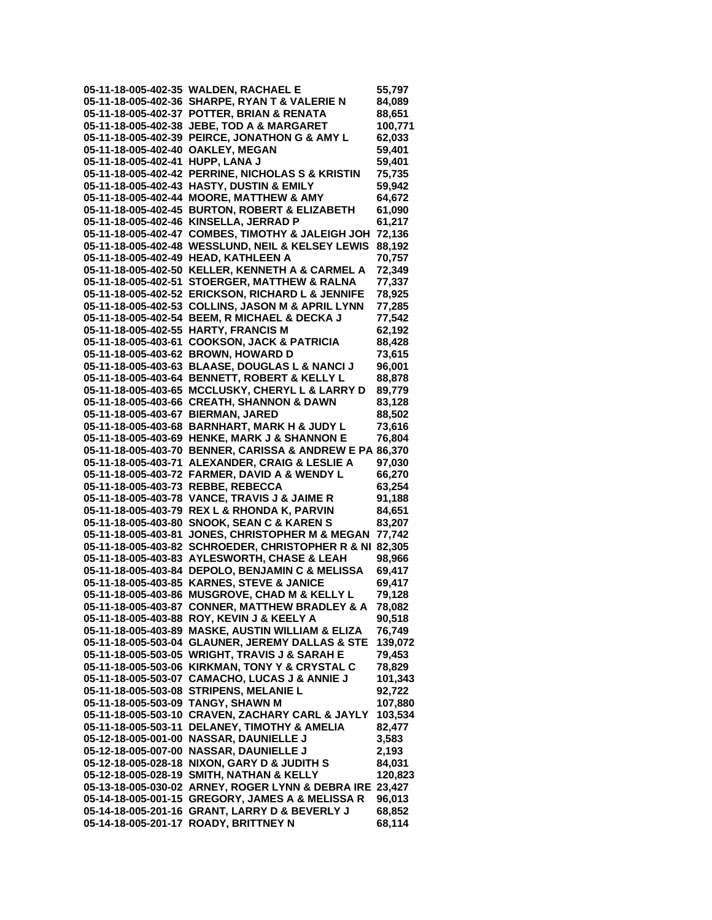**05-11-18-005-402-35 WALDEN, RACHAEL E 55,797 05-11-18-005-402-36 SHARPE, RYAN T & VALERIE N 84,089 05-11-18-005-402-37 POTTER, BRIAN & RENATA 88,651 05-11-18-005-402-38 JEBE, TOD A & MARGARET 100,771 05-11-18-005-402-39 PEIRCE, JONATHON G & AMY L 62,033 05-11-18-005-402-40 OAKLEY, MEGAN 59,401 05-11-18-005-402-41 HUPP, LANA J 59,401 05-11-18-005-402-42 PERRINE, NICHOLAS S & KRISTIN 75,735 05-11-18-005-402-43 HASTY, DUSTIN & EMILY 59,942 05-11-18-005-402-44 MOORE, MATTHEW & AMY 64,672** 05-11-18-005-402-45 BURTON, ROBERT & ELIZABETH **05-11-18-005-402-46 KINSELLA, JERRAD P 61,217 05-11-18-005-402-47 COMBES, TIMOTHY & JALEIGH JOH 72,136 05-11-18-005-402-48 WESSLUND, NEIL & KELSEY LEWIS 88,192 05-11-18-005-402-49 HEAD, KATHLEEN A 70,757 05-11-18-005-402-50 KELLER, KENNETH A & CARMEL A 72,349 05-11-18-005-402-51 STOERGER, MATTHEW & RALNA 77,337 05-11-18-005-402-52 ERICKSON, RICHARD L & JENNIFE 78,925 05-11-18-005-402-53 COLLINS, JASON M & APRIL LYNN 77,285 05-11-18-005-402-54 BEEM, R MICHAEL & DECKA J 77,542 05-11-18-005-402-55 HARTY, FRANCIS M 62,192 05-11-18-005-403-61 COOKSON, JACK & PATRICIA 88,428 05-11-18-005-403-62 BROWN, HOWARD D 73,615 05-11-18-005-403-63 BLAASE, DOUGLAS L & NANCI J 96,001 05-11-18-005-403-64 BENNETT, ROBERT & KELLY L 88,878 05-11-18-005-403-65 MCCLUSKY, CHERYL L & LARRY D 89,779 05-11-18-005-403-66 CREATH, SHANNON & DAWN 83,128 05-11-18-005-403-67 BIERMAN, JARED 88,502 05-11-18-005-403-68 BARNHART, MARK H & JUDY L 73,616 05-11-18-005-403-69 HENKE, MARK J & SHANNON E 76,804 05-11-18-005-403-70 BENNER, CARISSA & ANDREW E PA 86,370 05-11-18-005-403-71 ALEXANDER, CRAIG & LESLIE A 97,030 05-11-18-005-403-72 FARMER, DAVID A & WENDY L 66,270 05-11-18-005-403-73 REBBE, REBECCA 63,254 05-11-18-005-403-78 VANCE, TRAVIS J & JAIME R 91,188 05-11-18-005-403-79 REX L & RHONDA K, PARVIN 84,651 05-11-18-005-403-80 SNOOK, SEAN C & KAREN S 83,207 05-11-18-005-403-81 JONES, CHRISTOPHER M & MEGAN 77,742 05-11-18-005-403-82 SCHROEDER, CHRISTOPHER R & NI 82,305 05-11-18-005-403-83 AYLESWORTH, CHASE & LEAH 98,966 05-11-18-005-403-84 DEPOLO, BENJAMIN C & MELISSA 69,417 05-11-18-005-403-85 KARNES, STEVE & JANICE 69,417 05-11-18-005-403-86 MUSGROVE, CHAD M & KELLY L 79,128 05-11-18-005-403-87 CONNER, MATTHEW BRADLEY & A 78,082 05-11-18-005-403-88 ROY, KEVIN J & KEELY A 90,518 05-11-18-005-403-89 MASKE, AUSTIN WILLIAM & ELIZA 76,749 05-11-18-005-503-04 GLAUNER, JEREMY DALLAS & STE 139,072 05-11-18-005-503-05 WRIGHT, TRAVIS J & SARAH E 79,453 05-11-18-005-503-06 KIRKMAN, TONY Y & CRYSTAL C 78,829 05-11-18-005-503-07 CAMACHO, LUCAS J & ANNIE J 101,343 05-11-18-005-503-08 STRIPENS, MELANIE L 92,722 05-11-18-005-503-09 TANGY, SHAWN M 107,880 05-11-18-005-503-10 CRAVEN, ZACHARY CARL & JAYLY 103,534 05-11-18-005-503-11 DELANEY, TIMOTHY & AMELIA 82,477 05-12-18-005-001-00 NASSAR, DAUNIELLE J 3,583 05-12-18-005-007-00 NASSAR, DAUNIELLE J 2,193 05-12-18-005-028-18 NIXON, GARY D & JUDITH S 84,031 05-12-18-005-028-19 SMITH, NATHAN & KELLY 120,823 05-13-18-005-030-02 ARNEY, ROGER LYNN & DEBRA IRE 23,427 05-14-18-005-001-15 GREGORY, JAMES A & MELISSA R 96,013 05-14-18-005-201-16 GRANT, LARRY D & BEVERLY J 68,852 05-14-18-005-201-17 ROADY, BRITTNEY N 68,114**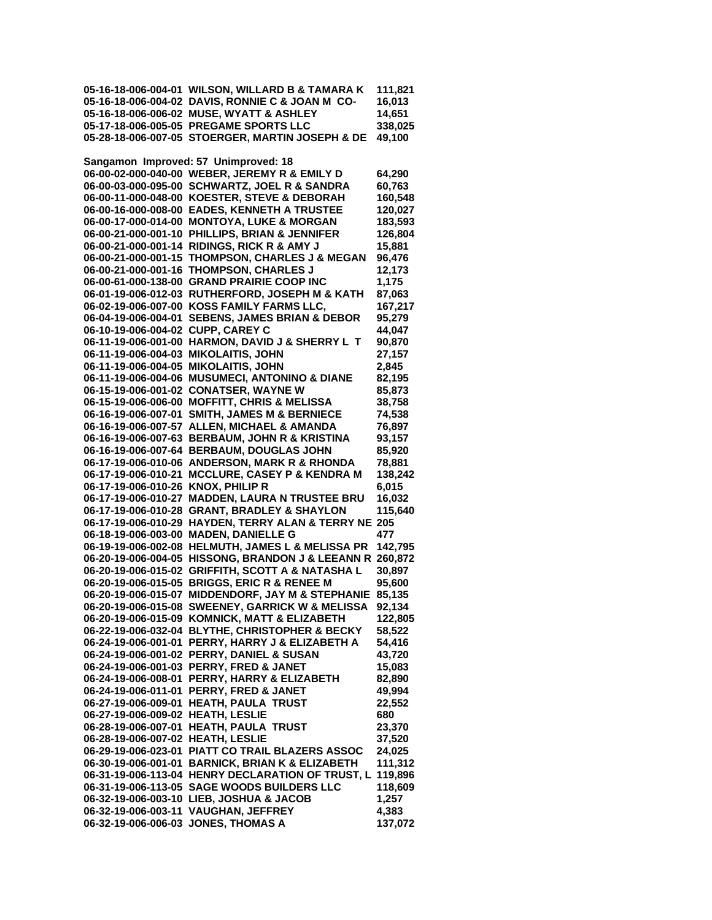**05-16-18-006-004-01 WILSON, WILLARD B & TAMARA K 111,821 05-16-18-006-004-02 DAVIS, RONNIE C & JOAN M CO- 16,013 05-16-18-006-006-02 MUSE, WYATT & ASHLEY 14,651 05-17-18-006-005-05 PREGAME SPORTS LLC 338,025 05-28-18-006-007-05 STOERGER, MARTIN JOSEPH & DE 49,100 Sangamon Improved: 57 Unimproved: 18 06-00-02-000-040-00 WEBER, JEREMY R & EMILY D 64,290 06-00-03-000-095-00 SCHWARTZ, JOEL R & SANDRA 60,763 06-00-11-000-048-00 KOESTER, STEVE & DEBORAH 160,548 06-00-16-000-008-00 EADES, KENNETH A TRUSTEE 120,027 06-00-17-000-014-00 MONTOYA, LUKE & MORGAN 183,593 06-00-21-000-001-10 PHILLIPS, BRIAN & JENNIFER 126,804 06-00-21-000-001-14 RIDINGS, RICK R & AMY J 15,881 06-00-21-000-001-15 THOMPSON, CHARLES J & MEGAN 96,476 06-00-21-000-001-16 THOMPSON, CHARLES J 12,173** 06-00-61-000-138-00 GRAND PRAIRIE COOP INC 1,175 **06-01-19-006-012-03 RUTHERFORD, JOSEPH M & KATH 87,063 06-02-19-006-007-00 KOSS FAMILY FARMS LLC, 167,217 06-04-19-006-004-01 SEBENS, JAMES BRIAN & DEBOR 95,279 06-10-19-006-004-02 CUPP, CAREY C 44,047 06-11-19-006-001-00 HARMON, DAVID J & SHERRY L T 90,870 06-11-19-006-004-03 MIKOLAITIS, JOHN 27,157 06-11-19-006-004-05 MIKOLAITIS, JOHN 2,845 06-11-19-006-004-06 MUSUMECI, ANTONINO & DIANE 82,195 06-15-19-006-001-02 CONATSER, WAYNE W 85,873 06-15-19-006-006-00 MOFFITT, CHRIS & MELISSA 38,758 06-16-19-006-007-01 SMITH, JAMES M & BERNIECE 74,538 06-16-19-006-007-57 ALLEN, MICHAEL & AMANDA 76,897 06-16-19-006-007-63 BERBAUM, JOHN R & KRISTINA 93,157 06-16-19-006-007-64 BERBAUM, DOUGLAS JOHN 85,920 06-17-19-006-010-06 ANDERSON, MARK R & RHONDA 78,881 06-17-19-006-010-21 MCCLURE, CASEY P & KENDRA M 138,242 06-17-19-006-010-26 KNOX, PHILIP R 6,015 06-17-19-006-010-27 MADDEN, LAURA N TRUSTEE BRU 16,032 06-17-19-006-010-28 GRANT, BRADLEY & SHAYLON 115,640 06-17-19-006-010-29 HAYDEN, TERRY ALAN & TERRY NE 205 06-18-19-006-003-00 MADEN, DANIELLE G 477 06-19-19-006-002-08 HELMUTH, JAMES L & MELISSA PR 142,795 06-20-19-006-004-05 HISSONG, BRANDON J & LEEANN R 260,872 06-20-19-006-015-02 GRIFFITH, SCOTT A & NATASHA L 30,897 06-20-19-006-015-05 BRIGGS, ERIC R & RENEE M 95,600 06-20-19-006-015-07 MIDDENDORF, JAY M & STEPHANIE 85,135 06-20-19-006-015-08 SWEENEY, GARRICK W & MELISSA 92,134 06-20-19-006-015-09 KOMNICK, MATT & ELIZABETH 122,805 06-22-19-006-032-04 BLYTHE, CHRISTOPHER & BECKY 58,522 06-24-19-006-001-01 PERRY, HARRY J & ELIZABETH A 54,416 06-24-19-006-001-02 PERRY, DANIEL & SUSAN 43,720 06-24-19-006-001-03 PERRY, FRED & JANET 15,083 06-24-19-006-008-01 PERRY, HARRY & ELIZABETH 82,890 06-24-19-006-011-01 PERRY, FRED & JANET 49,994 06-27-19-006-009-01 HEATH, PAULA TRUST 22,552 06-27-19-006-009-02 HEATH, LESLIE 680 06-28-19-006-007-01 HEATH, PAULA TRUST 23,370 06-28-19-006-007-02 HEATH, LESLIE 37,520 06-29-19-006-023-01 PIATT CO TRAIL BLAZERS ASSOC 24,025 06-30-19-006-001-01 BARNICK, BRIAN K & ELIZABETH 111,312 06-31-19-006-113-04 HENRY DECLARATION OF TRUST, L 119,896 06-31-19-006-113-05 SAGE WOODS BUILDERS LLC 118,609 06-32-19-006-003-10 LIEB, JOSHUA & JACOB 1,257 06-32-19-006-003-11 VAUGHAN, JEFFREY 4,383 06-32-19-006-006-03 JONES, THOMAS A 137,072**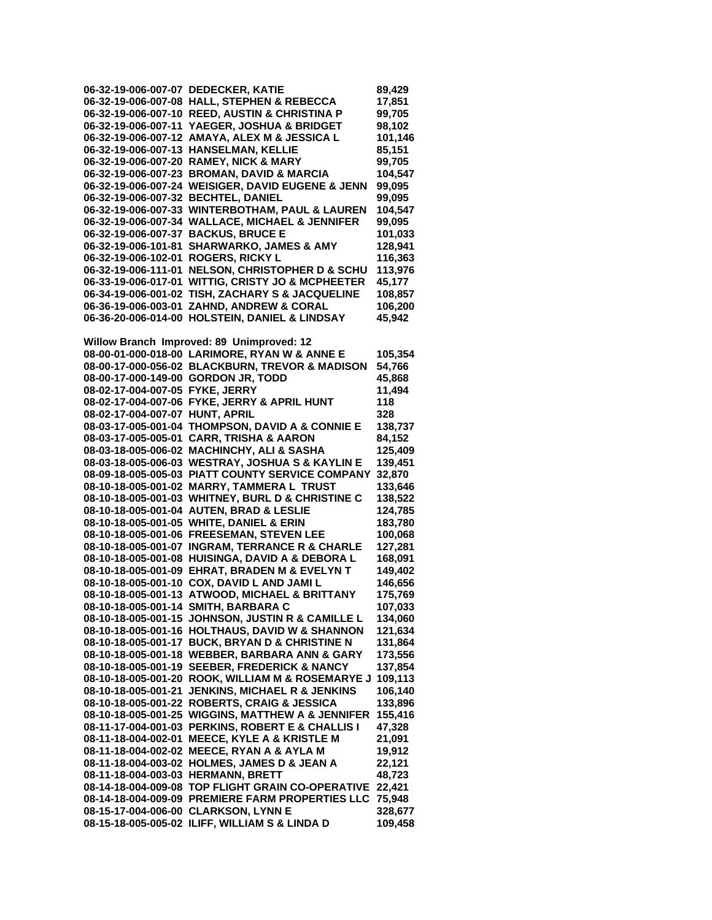**06-32-19-006-007-07 DEDECKER, KATIE 89,429 06-32-19-006-007-08 HALL, STEPHEN & REBECCA 17,851 06-32-19-006-007-10 REED, AUSTIN & CHRISTINA P 99,705 06-32-19-006-007-11 YAEGER, JOSHUA & BRIDGET 98,102 06-32-19-006-007-12 AMAYA, ALEX M & JESSICA L 101,146 06-32-19-006-007-13 HANSELMAN, KELLIE 85,151 06-32-19-006-007-20 RAMEY, NICK & MARY 99,705 06-32-19-006-007-23 BROMAN, DAVID & MARCIA 104,547 06-32-19-006-007-24 WEISIGER, DAVID EUGENE & JENN 99,095 06-32-19-006-007-32 BECHTEL, DANIEL 99,095 06-32-19-006-007-33 WINTERBOTHAM, PAUL & LAUREN 104,547 06-32-19-006-007-34 WALLACE, MICHAEL & JENNIFER 99,095 06-32-19-006-007-37 BACKUS, BRUCE E 101,033 06-32-19-006-101-81 SHARWARKO, JAMES & AMY 128,941** 06-32-19-006-102-01 ROGERS, RICKY L 116,363 **06-32-19-006-111-01 NELSON, CHRISTOPHER D & SCHU 113,976 06-33-19-006-017-01 WITTIG, CRISTY JO & MCPHEETER 45,177 06-34-19-006-001-02 TISH, ZACHARY S & JACQUELINE 108,857 06-36-19-006-003-01 ZAHND, ANDREW & CORAL 106,200 06-36-20-006-014-00 HOLSTEIN, DANIEL & LINDSAY 45,942 Willow Branch Improved: 89 Unimproved: 12 08-00-01-000-018-00 LARIMORE, RYAN W & ANNE E 105,354 08-00-17-000-056-02 BLACKBURN, TREVOR & MADISON 54,766 08-00-17-000-149-00 GORDON JR, TODD 45,868 08-02-17-004-007-05 FYKE, JERRY 11,494 08-02-17-004-007-06 FYKE, JERRY & APRIL HUNT 118 08-02-17-004-007-07 HUNT, APRIL 328 08-03-17-005-001-04 THOMPSON, DAVID A & CONNIE E 138,737 08-03-17-005-005-01 CARR, TRISHA & AARON 84,152 08-03-18-005-006-02 MACHINCHY, ALI & SASHA 125,409 08-03-18-005-006-03 WESTRAY, JOSHUA S & KAYLIN E 139,451 08-09-18-005-005-03 PIATT COUNTY SERVICE COMPANY 32,870 08-10-18-005-001-02 MARRY, TAMMERA L TRUST 133,646 08-10-18-005-001-03 WHITNEY, BURL D & CHRISTINE C 138,522 08-10-18-005-001-04 AUTEN, BRAD & LESLIE 124,785 08-10-18-005-001-05 WHITE, DANIEL & ERIN 183,780 08-10-18-005-001-06 FREESEMAN, STEVEN LEE 100,068 08-10-18-005-001-07 INGRAM, TERRANCE R & CHARLE 127,281 08-10-18-005-001-08 HUISINGA, DAVID A & DEBORA L 168,091 08-10-18-005-001-09 EHRAT, BRADEN M & EVELYN T 149,402 08-10-18-005-001-10 COX, DAVID L AND JAMI L 146,656 08-10-18-005-001-13 ATWOOD, MICHAEL & BRITTANY 175,769 08-10-18-005-001-14 SMITH, BARBARA C 107,033 08-10-18-005-001-15 JOHNSON, JUSTIN R & CAMILLE L 134,060 08-10-18-005-001-16 HOLTHAUS, DAVID W & SHANNON 121,634 08-10-18-005-001-17 BUCK, BRYAN D & CHRISTINE N 131,864 08-10-18-005-001-18 WEBBER, BARBARA ANN & GARY 173,556 08-10-18-005-001-19 SEEBER, FREDERICK & NANCY 137,854 08-10-18-005-001-20 ROOK, WILLIAM M & ROSEMARYE J 109,113 08-10-18-005-001-21 JENKINS, MICHAEL R & JENKINS 106,140 08-10-18-005-001-22 ROBERTS, CRAIG & JESSICA 133,896 08-10-18-005-001-25 WIGGINS, MATTHEW A & JENNIFER 155,416 08-11-17-004-001-03 PERKINS, ROBERT E & CHALLIS I 47,328 08-11-18-004-002-01 MEECE, KYLE A & KRISTLE M 21,091 08-11-18-004-002-02 MEECE, RYAN A & AYLA M 19,912 08-11-18-004-003-02 HOLMES, JAMES D & JEAN A 22,121 08-11-18-004-003-03 HERMANN, BRETT 48,723 08-14-18-004-009-08 TOP FLIGHT GRAIN CO-OPERATIVE 22,421 08-14-18-004-009-09 PREMIERE FARM PROPERTIES LLC 75,948 08-15-17-004-006-00 CLARKSON, LYNN E 328,677 08-15-18-005-005-02 ILIFF, WILLIAM S & LINDA D 109,458**